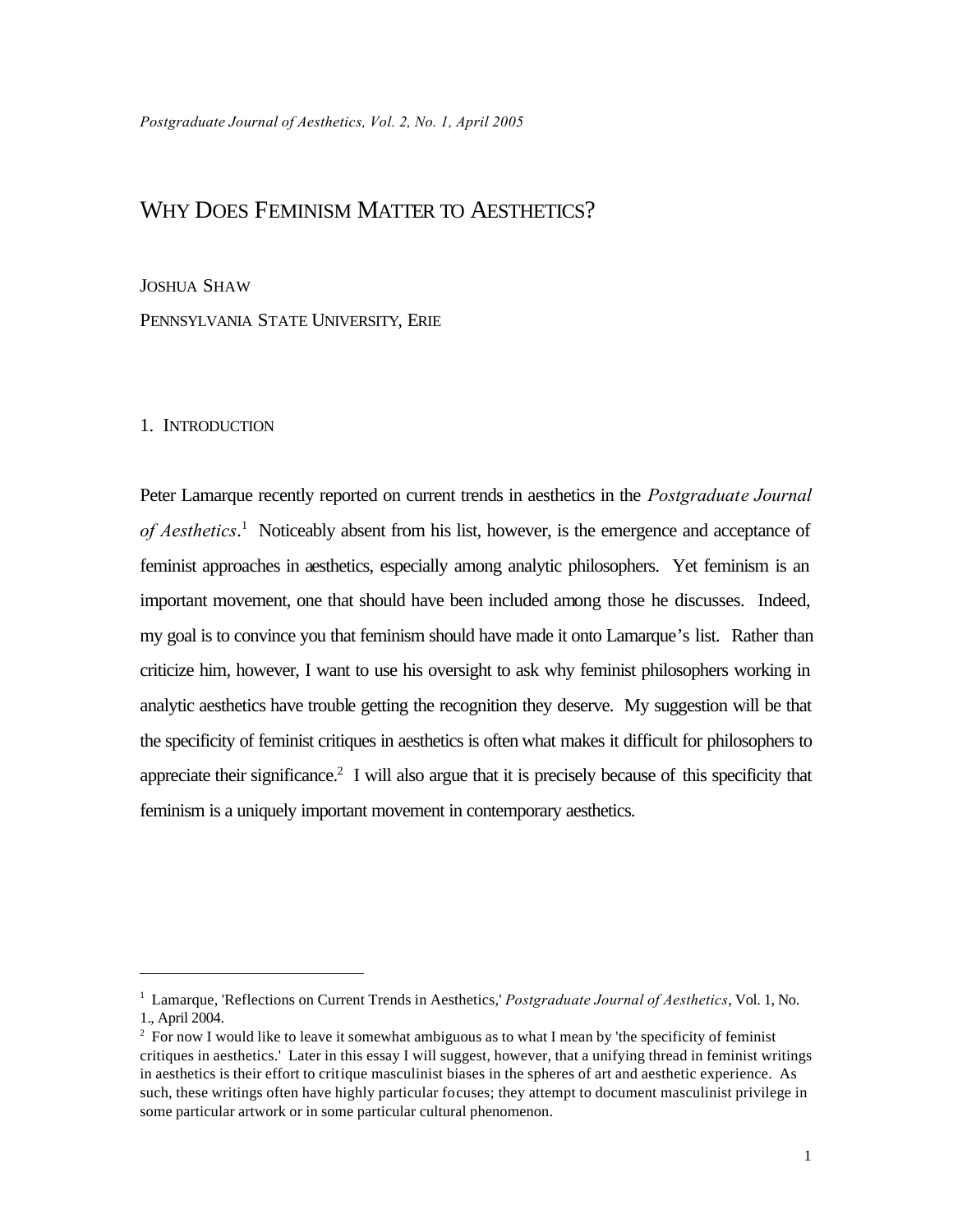# WHY DOES FEMINISM MATTER TO AESTHETICS?

#### JOSHUA SHAW

PENNSYLVANIA STATE UNIVERSITY, ERIE

#### 1. INTRODUCTION

Peter Lamarque recently reported on current trends in aesthetics in the *Postgraduate Journal*  of Aesthetics.<sup>1</sup> Noticeably absent from his list, however, is the emergence and acceptance of feminist approaches in aesthetics, especially among analytic philosophers. Yet feminism is an important movement, one that should have been included among those he discusses. Indeed, my goal is to convince you that feminism should have made it onto Lamarque's list. Rather than criticize him, however, I want to use his oversight to ask why feminist philosophers working in analytic aesthetics have trouble getting the recognition they deserve. My suggestion will be that the specificity of feminist critiques in aesthetics is often what makes it difficult for philosophers to appreciate their significance.<sup>2</sup> I will also argue that it is precisely because of this specificity that feminism is a uniquely important movement in contemporary aesthetics.

<sup>1</sup> Lamarque, 'Reflections on Current Trends in Aesthetics,' *Postgraduate Journal of Aesthetics*, Vol. 1, No. 1., April 2004.

<sup>&</sup>lt;sup>2</sup> For now I would like to leave it somewhat ambiguous as to what I mean by 'the specificity of feminist critiques in aesthetics.' Later in this essay I will suggest, however, that a unifying thread in feminist writings in aesthetics is their effort to critique masculinist biases in the spheres of art and aesthetic experience. As such, these writings often have highly particular focuses; they attempt to document masculinist privilege in some particular artwork or in some particular cultural phenomenon.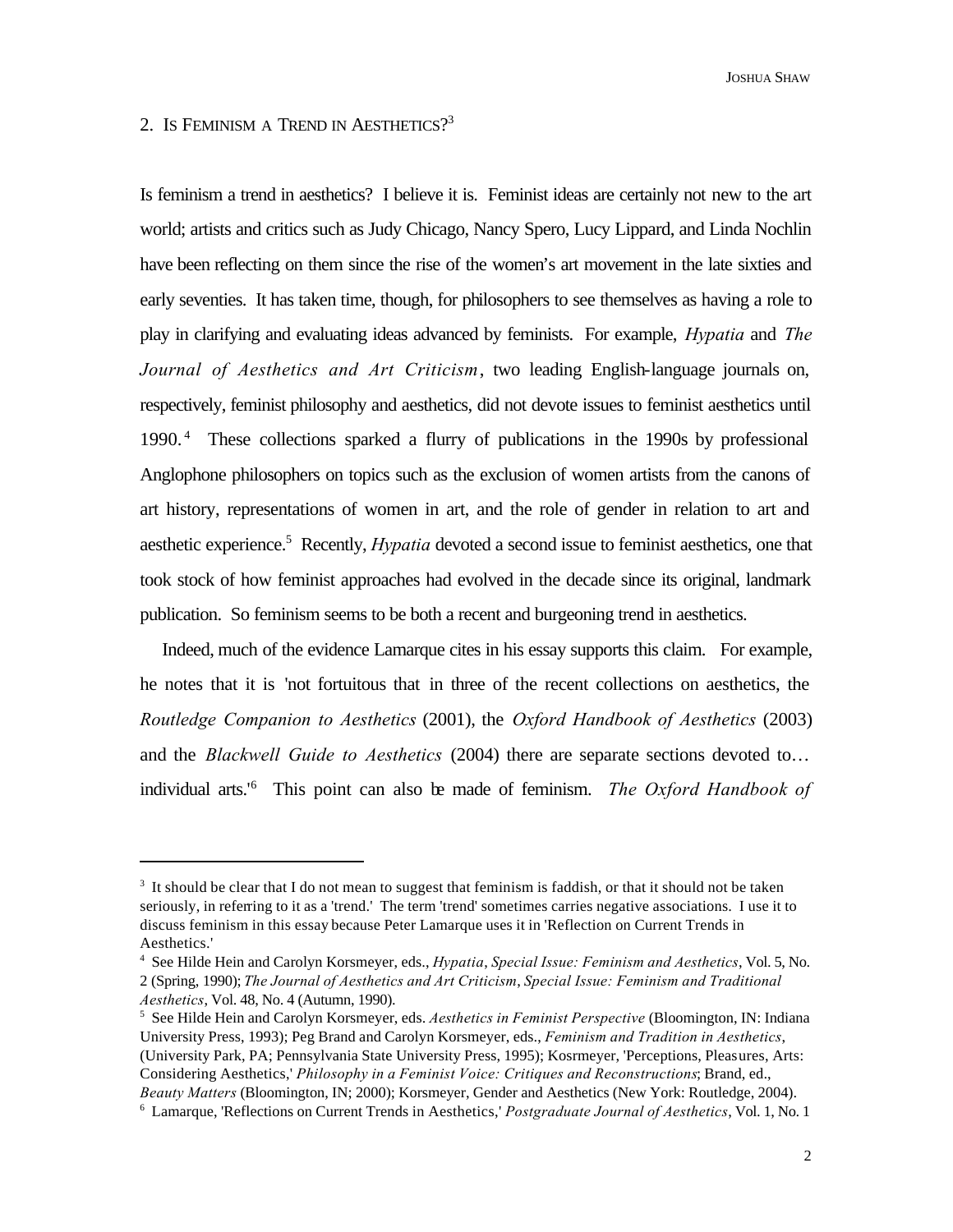JOSHUA SHAW

## 2. IS FEMINISM A TREND IN AESTHETICS?<sup>3</sup>

Is feminism a trend in aesthetics? I believe it is. Feminist ideas are certainly not new to the art world; artists and critics such as Judy Chicago, Nancy Spero, Lucy Lippard, and Linda Nochlin have been reflecting on them since the rise of the women's art movement in the late sixties and early seventies. It has taken time, though, for philosophers to see themselves as having a role to play in clarifying and evaluating ideas advanced by feminists. For example, *Hypatia* and *The Journal of Aesthetics and Art Criticism*, two leading English-language journals on, respectively, feminist philosophy and aesthetics, did not devote issues to feminist aesthetics until 1990.<sup>4</sup> These collections sparked a flurry of publications in the 1990s by professional Anglophone philosophers on topics such as the exclusion of women artists from the canons of art history, representations of women in art, and the role of gender in relation to art and aesthetic experience.<sup>5</sup> Recently, *Hypatia* devoted a second issue to feminist aesthetics, one that took stock of how feminist approaches had evolved in the decade since its original, landmark publication. So feminism seems to be both a recent and burgeoning trend in aesthetics.

Indeed, much of the evidence Lamarque cites in his essay supports this claim. For example, he notes that it is 'not fortuitous that in three of the recent collections on aesthetics, the *Routledge Companion to Aesthetics* (2001), the *Oxford Handbook of Aesthetics* (2003) and the *Blackwell Guide to Aesthetics* (2004) there are separate sections devoted to… individual arts.'<sup>6</sup> This point can also be made of feminism. *The Oxford Handbook of* 

<sup>&</sup>lt;sup>3</sup> It should be clear that I do not mean to suggest that feminism is faddish, or that it should not be taken seriously, in referring to it as a 'trend.' The term 'trend' sometimes carries negative associations. I use it to discuss feminism in this essay because Peter Lamarque uses it in 'Reflection on Current Trends in Aesthetics.'

<sup>4</sup> See Hilde Hein and Carolyn Korsmeyer, eds., *Hypatia*, *Special Issue: Feminism and Aesthetics*, Vol. 5, No. 2 (Spring, 1990); *The Journal of Aesthetics and Art Criticism*, *Special Issue: Feminism and Traditional Aesthetics*, Vol. 48, No. 4 (Autumn, 1990).

<sup>5</sup> See Hilde Hein and Carolyn Korsmeyer, eds. *Aesthetics in Feminist Perspective* (Bloomington, IN: Indiana University Press, 1993); Peg Brand and Carolyn Korsmeyer, eds., *Feminism and Tradition in Aesthetics*, (University Park, PA; Pennsylvania State University Press, 1995); Kosrmeyer, 'Perceptions, Pleasures, Arts: Considering Aesthetics,' *Philosophy in a Feminist Voice: Critiques and Reconstructions*; Brand, ed., *Beauty Matters* (Bloomington, IN; 2000); Korsmeyer, Gender and Aesthetics (New York: Routledge, 2004). 6 Lamarque, 'Reflections on Current Trends in Aesthetics,' *Postgraduate Journal of Aesthetics*, Vol. 1, No. 1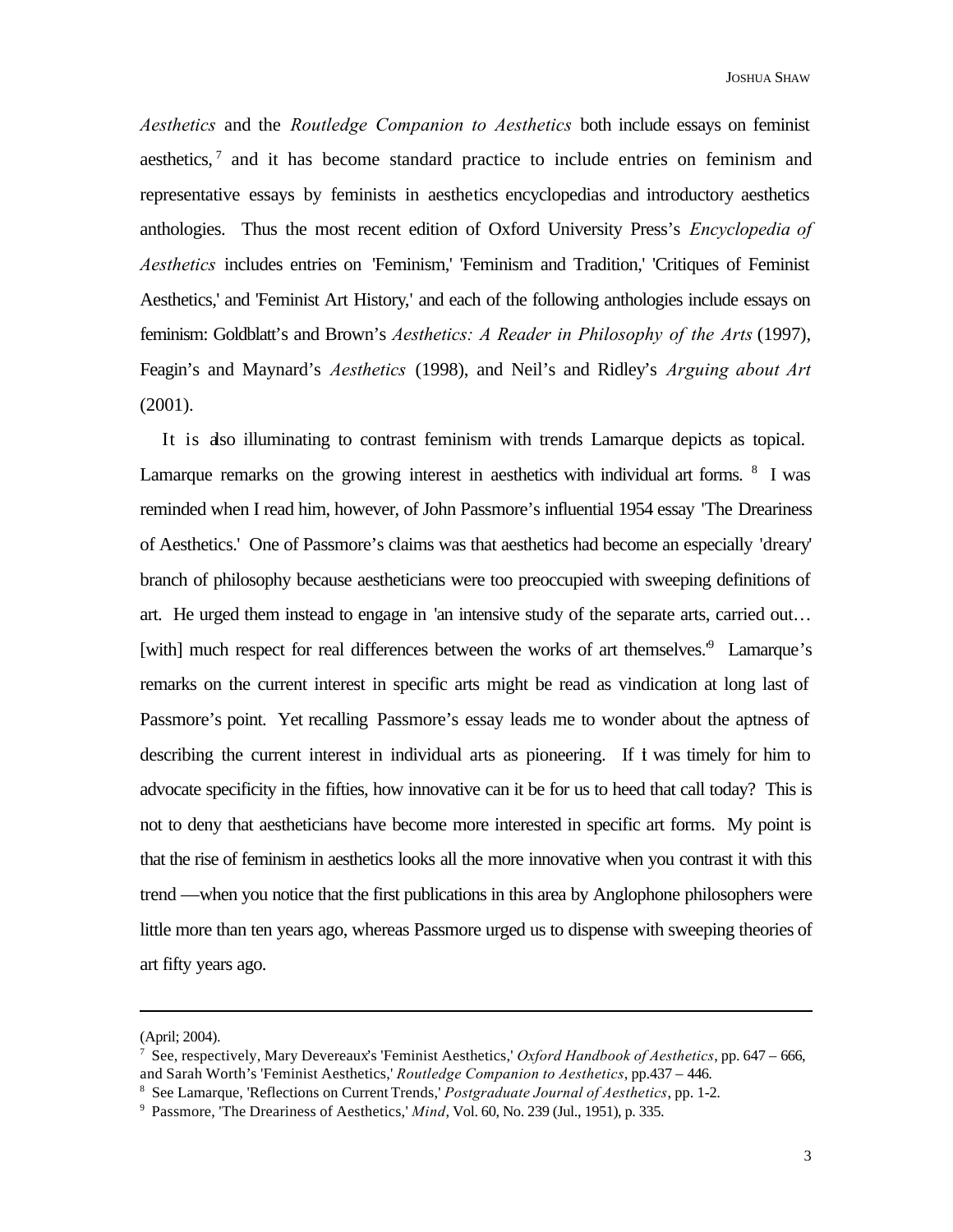*Aesthetics* and the *Routledge Companion to Aesthetics* both include essays on feminist aesthetics, $<sup>7</sup>$  and it has become standard practice to include entries on feminism and</sup> representative essays by feminists in aesthetics encyclopedias and introductory aesthetics anthologies. Thus the most recent edition of Oxford University Press's *Encyclopedia of Aesthetics* includes entries on 'Feminism,' 'Feminism and Tradition,' 'Critiques of Feminist Aesthetics,' and 'Feminist Art History,' and each of the following anthologies include essays on feminism: Goldblatt's and Brown's *Aesthetics: A Reader in Philosophy of the Arts* (1997), Feagin's and Maynard's *Aesthetics* (1998), and Neil's and Ridley's *Arguing about Art*  (2001).

It is also illuminating to contrast feminism with trends Lamarque depicts as topical. Lamarque remarks on the growing interest in aesthetics with individual art forms. <sup>8</sup> I was reminded when I read him, however, of John Passmore's influential 1954 essay 'The Dreariness of Aesthetics.' One of Passmore's claims was that aesthetics had become an especially 'dreary' branch of philosophy because aestheticians were too preoccupied with sweeping definitions of art. He urged them instead to engage in 'an intensive study of the separate arts, carried out… [with] much respect for real differences between the works of art themselves.<sup>9</sup> Lamarque's remarks on the current interest in specific arts might be read as vindication at long last of Passmore's point. Yet recalling Passmore's essay leads me to wonder about the aptness of describing the current interest in individual arts as pioneering. If t was timely for him to advocate specificity in the fifties, how innovative can it be for us to heed that call today? This is not to deny that aestheticians have become more interested in specific art forms. My point is that the rise of feminism in aesthetics looks all the more innovative when you contrast it with this trend —when you notice that the first publications in this area by Anglophone philosophers were little more than ten years ago, whereas Passmore urged us to dispense with sweeping theories of art fifty years ago.

<sup>(</sup>April; 2004).

<sup>7</sup> See, respectively, Mary Devereaux's 'Feminist Aesthetics,' *Oxford Handbook of Aesthetics*, pp. 647 – 666, and Sarah Worth's 'Feminist Aesthetics,' *Routledge Companion to Aesthetics*, pp.437 – 446.

<sup>8</sup> See Lamarque, 'Reflections on Current Trends,' *Postgraduate Journal of Aesthetics*, pp. 1-2.

<sup>&</sup>lt;sup>9</sup> Passmore, 'The Dreariness of Aesthetics,' *Mind*, Vol. 60, No. 239 (Jul., 1951), p. 335.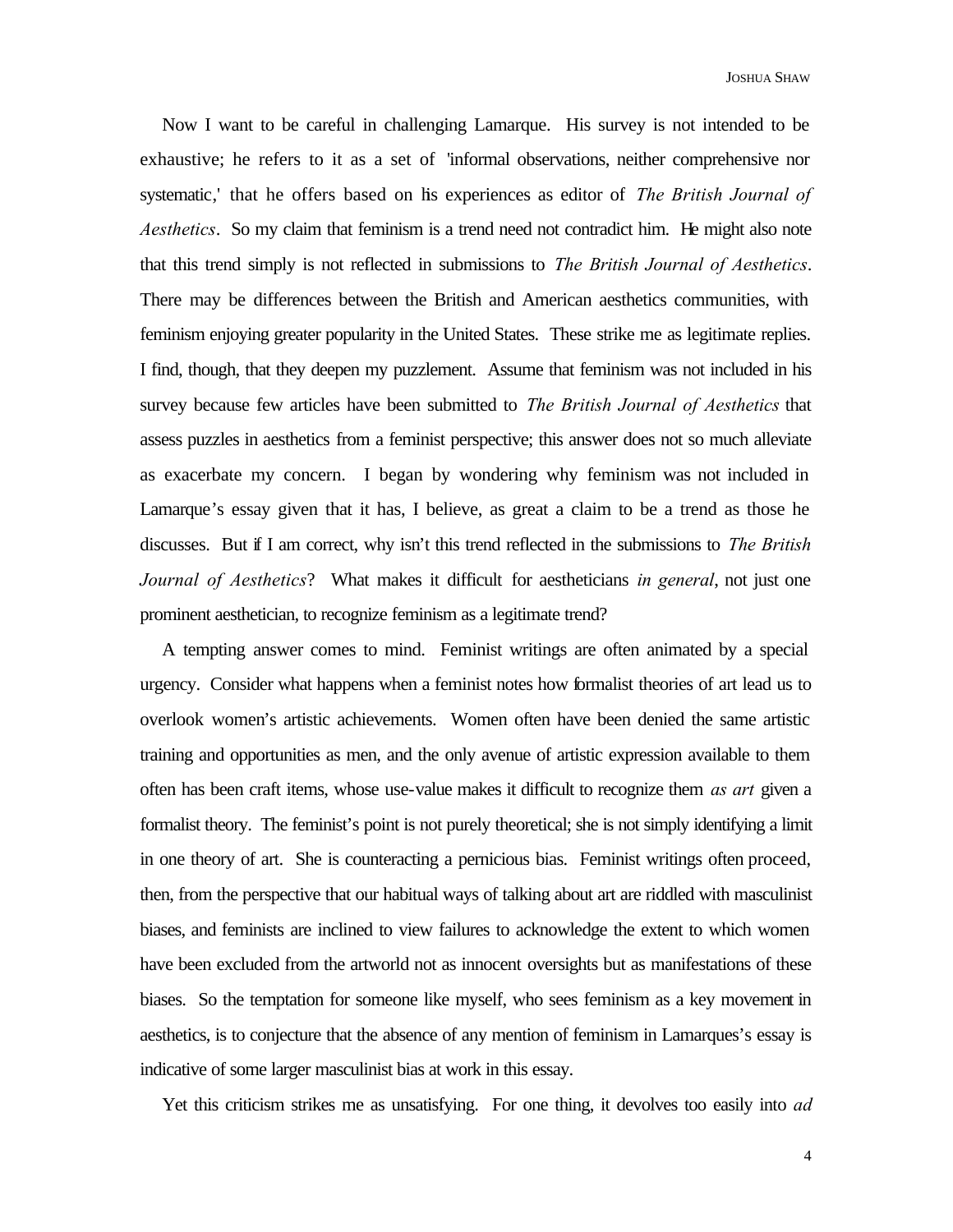Now I want to be careful in challenging Lamarque. His survey is not intended to be exhaustive; he refers to it as a set of 'informal observations, neither comprehensive nor systematic,' that he offers based on his experiences as editor of *The British Journal of Aesthetics*. So my claim that feminism is a trend need not contradict him. He might also note that this trend simply is not reflected in submissions to *The British Journal of Aesthetics*. There may be differences between the British and American aesthetics communities, with feminism enjoying greater popularity in the United States. These strike me as legitimate replies. I find, though, that they deepen my puzzlement. Assume that feminism was not included in his survey because few articles have been submitted to *The British Journal of Aesthetics* that assess puzzles in aesthetics from a feminist perspective; this answer does not so much alleviate as exacerbate my concern. I began by wondering why feminism was not included in Lamarque's essay given that it has, I believe, as great a claim to be a trend as those he discusses. But if I am correct, why isn't this trend reflected in the submissions to *The British Journal of Aesthetics*? What makes it difficult for aestheticians *in general*, not just one prominent aesthetician, to recognize feminism as a legitimate trend?

A tempting answer comes to mind. Feminist writings are often animated by a special urgency. Consider what happens when a feminist notes how formalist theories of art lead us to overlook women's artistic achievements. Women often have been denied the same artistic training and opportunities as men, and the only avenue of artistic expression available to them often has been craft items, whose use-value makes it difficult to recognize them *as art* given a formalist theory. The feminist's point is not purely theoretical; she is not simply identifying a limit in one theory of art. She is counteracting a pernicious bias. Feminist writings often proceed, then, from the perspective that our habitual ways of talking about art are riddled with masculinist biases, and feminists are inclined to view failures to acknowledge the extent to which women have been excluded from the artworld not as innocent oversights but as manifestations of these biases. So the temptation for someone like myself, who sees feminism as a key movement in aesthetics, is to conjecture that the absence of any mention of feminism in Lamarques's essay is indicative of some larger masculinist bias at work in this essay.

Yet this criticism strikes me as unsatisfying. For one thing, it devolves too easily into *ad*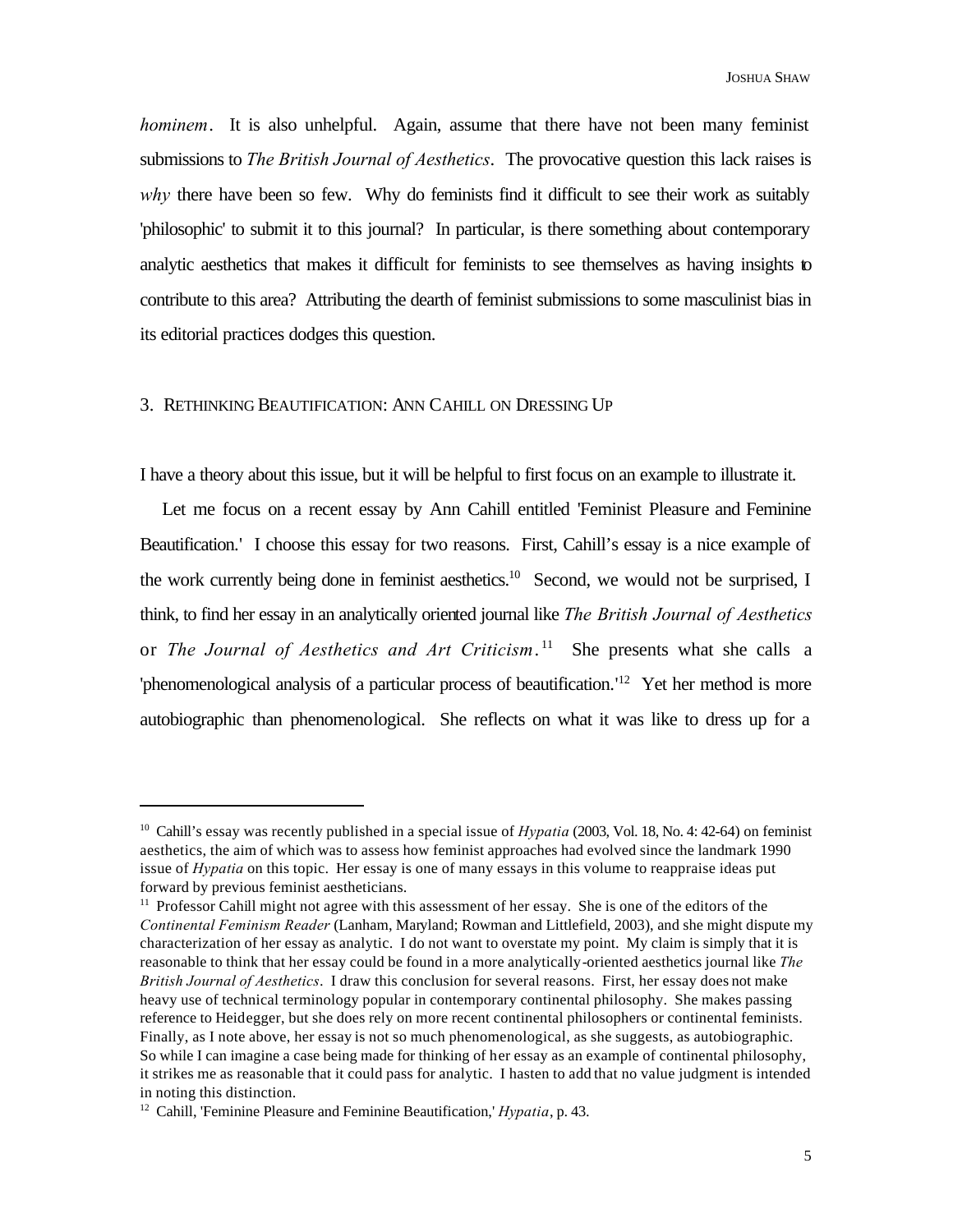*hominem*. It is also unhelpful. Again, assume that there have not been many feminist submissions to *The British Journal of Aesthetics*. The provocative question this lack raises is why there have been so few. Why do feminists find it difficult to see their work as suitably 'philosophic' to submit it to this journal? In particular, is there something about contemporary analytic aesthetics that makes it difficult for feminists to see themselves as having insights to contribute to this area? Attributing the dearth of feminist submissions to some masculinist bias in its editorial practices dodges this question.

#### 3. RETHINKING BEAUTIFICATION: ANN CAHILL ON DRESSING UP

I have a theory about this issue, but it will be helpful to first focus on an example to illustrate it.

Let me focus on a recent essay by Ann Cahill entitled 'Feminist Pleasure and Feminine Beautification.' I choose this essay for two reasons. First, Cahill's essay is a nice example of the work currently being done in feminist aesthetics.<sup>10</sup> Second, we would not be surprised, I think, to find her essay in an analytically oriented journal like *The British Journal of Aesthetics* or *The Journal of Aesthetics and Art Criticism*. <sup>11</sup> She presents what she calls a 'phenomenological analysis of a particular process of beautification.' <sup>12</sup> Yet her method is more autobiographic than phenomenological. She reflects on what it was like to dress up for a

<sup>10</sup> Cahill's essay was recently published in a special issue of *Hypatia* (2003, Vol. 18, No. 4: 42-64) on feminist aesthetics, the aim of which was to assess how feminist approaches had evolved since the landmark 1990 issue of *Hypatia* on this topic. Her essay is one of many essays in this volume to reappraise ideas put forward by previous feminist aestheticians.

<sup>&</sup>lt;sup>11</sup> Professor Cahill might not agree with this assessment of her essay. She is one of the editors of the *Continental Feminism Reader* (Lanham, Maryland; Rowman and Littlefield, 2003), and she might dispute my characterization of her essay as analytic. I do not want to overstate my point. My claim is simply that it is reasonable to think that her essay could be found in a more analytically-oriented aesthetics journal like *The British Journal of Aesthetics*. I draw this conclusion for several reasons. First, her essay does not make heavy use of technical terminology popular in contemporary continental philosophy. She makes passing reference to Heidegger, but she does rely on more recent continental philosophers or continental feminists. Finally, as I note above, her essay is not so much phenomenological, as she suggests, as autobiographic. So while I can imagine a case being made for thinking of her essay as an example of continental philosophy, it strikes me as reasonable that it could pass for analytic. I hasten to add that no value judgment is intended in noting this distinction.

<sup>12</sup> Cahill, 'Feminine Pleasure and Feminine Beautification,' *Hypatia*, p. 43.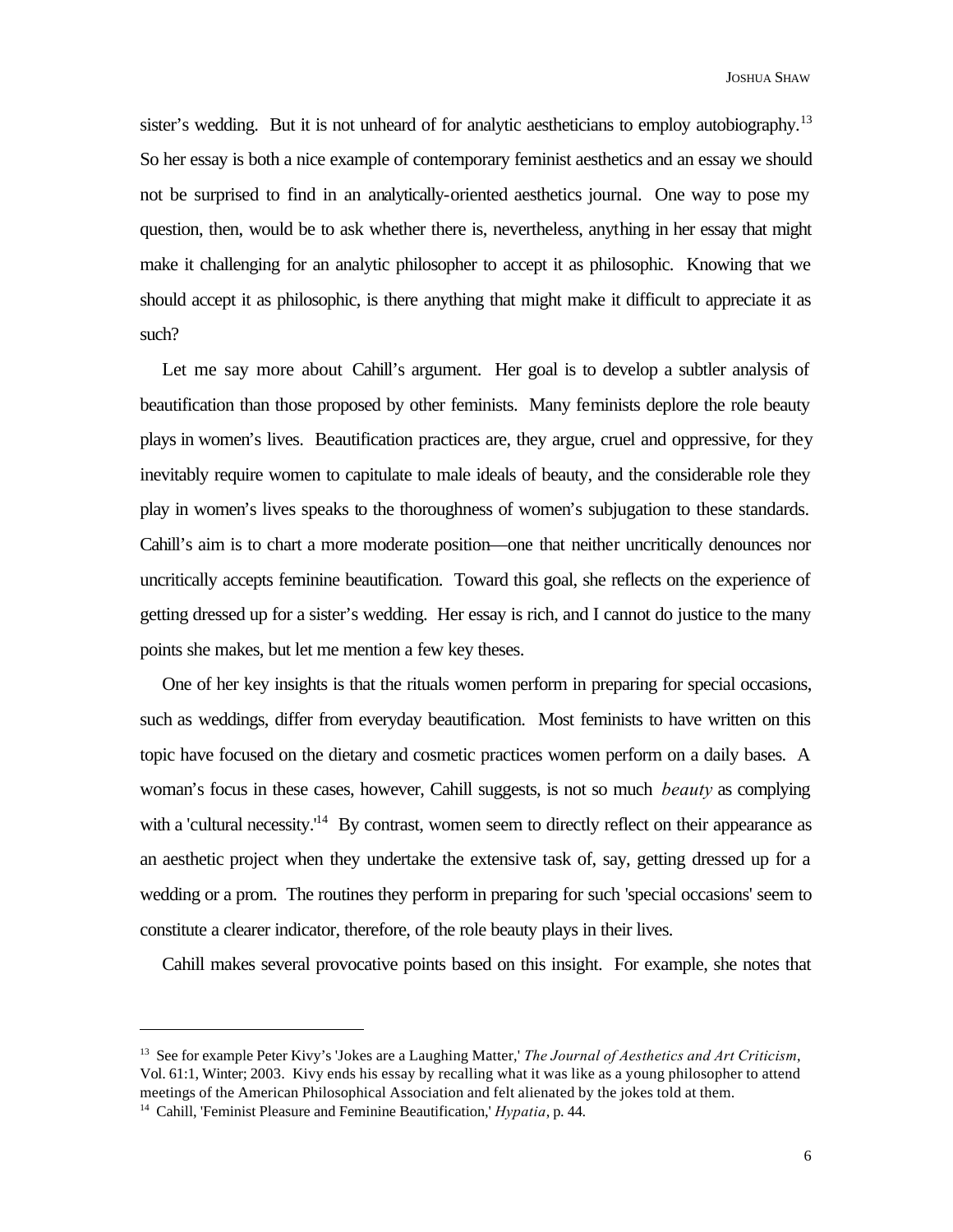sister's wedding. But it is not unheard of for analytic aestheticians to employ autobiography.<sup>13</sup> So her essay is both a nice example of contemporary feminist aesthetics and an essay we should not be surprised to find in an analytically-oriented aesthetics journal. One way to pose my question, then, would be to ask whether there is, nevertheless, anything in her essay that might make it challenging for an analytic philosopher to accept it as philosophic. Knowing that we should accept it as philosophic, is there anything that might make it difficult to appreciate it as such?

Let me say more about Cahill's argument. Her goal is to develop a subtler analysis of beautification than those proposed by other feminists. Many feminists deplore the role beauty plays in women's lives. Beautification practices are, they argue, cruel and oppressive, for they inevitably require women to capitulate to male ideals of beauty, and the considerable role they play in women's lives speaks to the thoroughness of women's subjugation to these standards. Cahill's aim is to chart a more moderate position—one that neither uncritically denounces nor uncritically accepts feminine beautification. Toward this goal, she reflects on the experience of getting dressed up for a sister's wedding. Her essay is rich, and I cannot do justice to the many points she makes, but let me mention a few key theses.

One of her key insights is that the rituals women perform in preparing for special occasions, such as weddings, differ from everyday beautification. Most feminists to have written on this topic have focused on the dietary and cosmetic practices women perform on a daily bases. A woman's focus in these cases, however, Cahill suggests, is not so much *beauty* as complying with a 'cultural necessity.'<sup>14</sup> By contrast, women seem to directly reflect on their appearance as an aesthetic project when they undertake the extensive task of, say, getting dressed up for a wedding or a prom. The routines they perform in preparing for such 'special occasions' seem to constitute a clearer indicator, therefore, of the role beauty plays in their lives.

Cahill makes several provocative points based on this insight. For example, she notes that

<sup>13</sup> See for example Peter Kivy's 'Jokes are a Laughing Matter,' *The Journal of Aesthetics and Art Criticism*, Vol. 61:1, Winter; 2003. Kivy ends his essay by recalling what it was like as a young philosopher to attend meetings of the American Philosophical Association and felt alienated by the jokes told at them.

<sup>14</sup> Cahill, 'Feminist Pleasure and Feminine Beautification,' *Hypatia*, p. 44.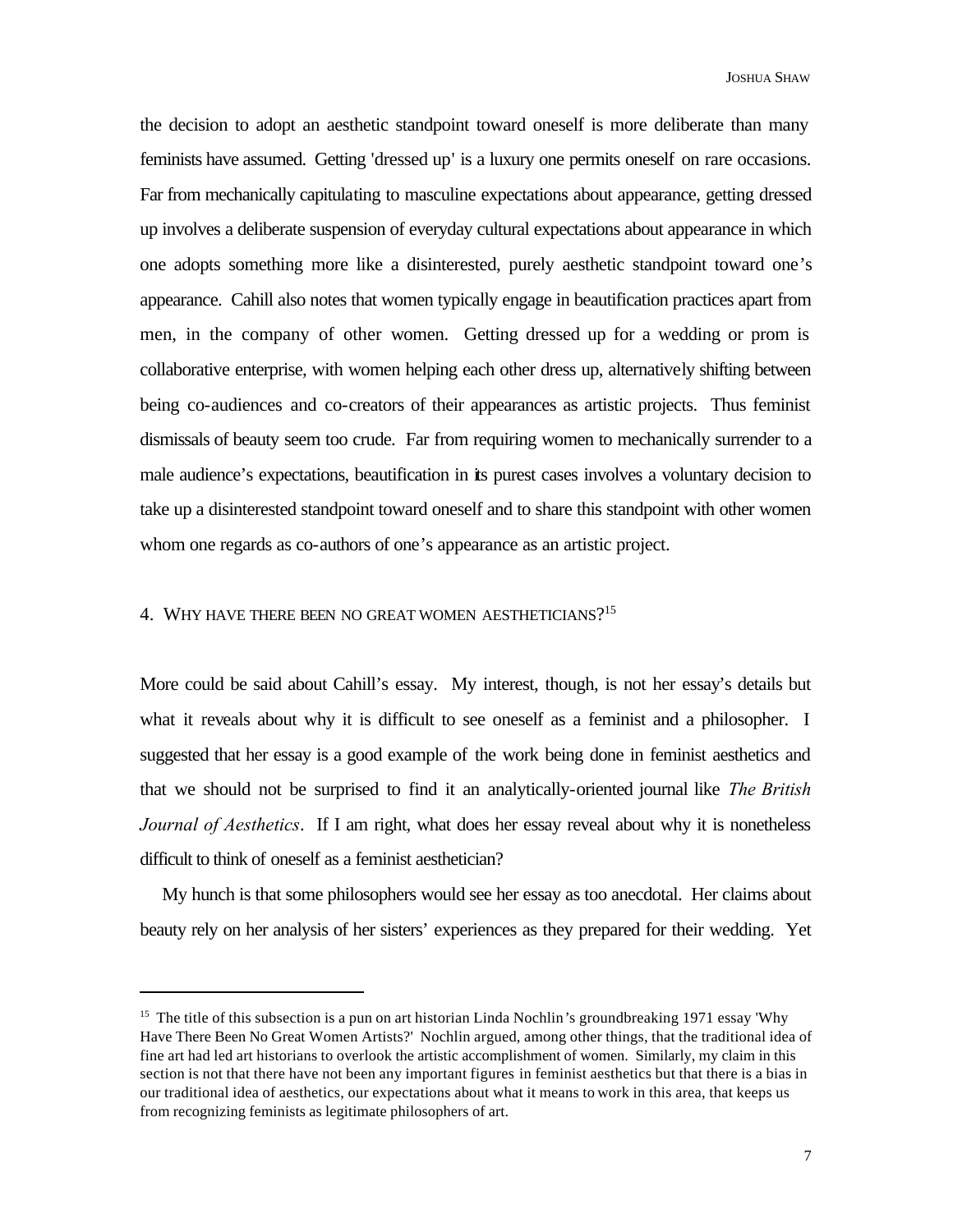the decision to adopt an aesthetic standpoint toward oneself is more deliberate than many feminists have assumed. Getting 'dressed up' is a luxury one permits oneself on rare occasions. Far from mechanically capitulating to masculine expectations about appearance, getting dressed up involves a deliberate suspension of everyday cultural expectations about appearance in which one adopts something more like a disinterested, purely aesthetic standpoint toward one's appearance. Cahill also notes that women typically engage in beautification practices apart from men, in the company of other women. Getting dressed up for a wedding or prom is collaborative enterprise, with women helping each other dress up, alternatively shifting between being co-audiences and co-creators of their appearances as artistic projects. Thus feminist dismissals of beauty seem too crude. Far from requiring women to mechanically surrender to a male audience's expectations, beautification in its purest cases involves a voluntary decision to take up a disinterested standpoint toward oneself and to share this standpoint with other women whom one regards as co-authors of one's appearance as an artistic project.

## 4. WHY HAVE THERE BEEN NO GREAT WOMEN AESTHETICIANS?<sup>15</sup>

More could be said about Cahill's essay. My interest, though, is not her essay's details but what it reveals about why it is difficult to see oneself as a feminist and a philosopher. I suggested that her essay is a good example of the work being done in feminist aesthetics and that we should not be surprised to find it an analytically-oriented journal like *The British Journal of Aesthetics*. If I am right, what does her essay reveal about why it is nonetheless difficult to think of oneself as a feminist aesthetician?

My hunch is that some philosophers would see her essay as too anecdotal. Her claims about beauty rely on her analysis of her sisters' experiences as they prepared for their wedding. Yet

<sup>&</sup>lt;sup>15</sup> The title of this subsection is a pun on art historian Linda Nochlin's groundbreaking 1971 essay 'Why Have There Been No Great Women Artists?' Nochlin argued, among other things, that the traditional idea of fine art had led art historians to overlook the artistic accomplishment of women. Similarly, my claim in this section is not that there have not been any important figures in feminist aesthetics but that there is a bias in our traditional idea of aesthetics, our expectations about what it means to work in this area, that keeps us from recognizing feminists as legitimate philosophers of art.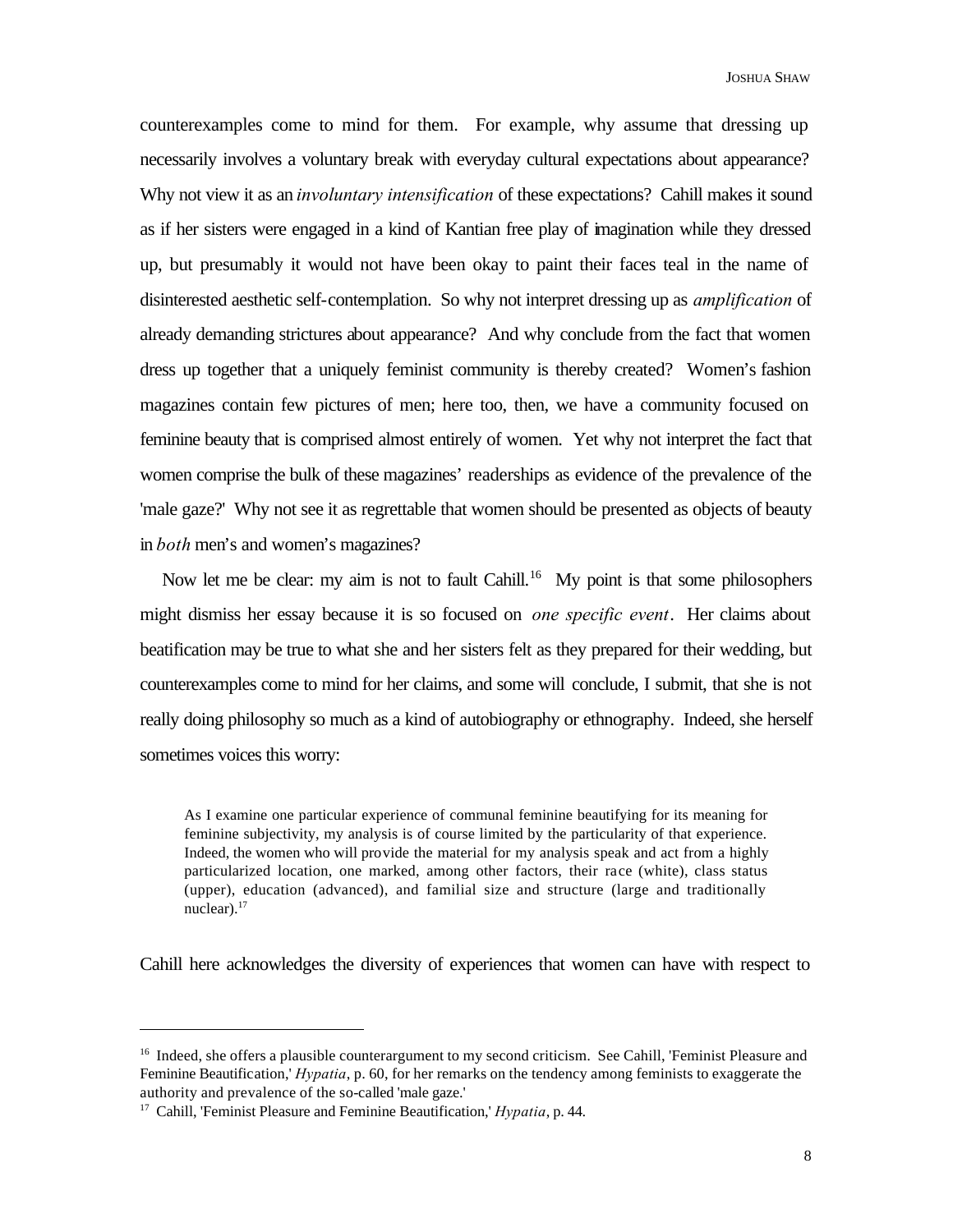counterexamples come to mind for them. For example, why assume that dressing up necessarily involves a voluntary break with everyday cultural expectations about appearance? Why not view it as an *involuntary intensification* of these expectations? Cahill makes it sound as if her sisters were engaged in a kind of Kantian free play of imagination while they dressed up, but presumably it would not have been okay to paint their faces teal in the name of disinterested aesthetic self-contemplation. So why not interpret dressing up as *amplification* of already demanding strictures about appearance? And why conclude from the fact that women dress up together that a uniquely feminist community is thereby created? Women's fashion magazines contain few pictures of men; here too, then, we have a community focused on feminine beauty that is comprised almost entirely of women. Yet why not interpret the fact that women comprise the bulk of these magazines' readerships as evidence of the prevalence of the 'male gaze?' Why not see it as regrettable that women should be presented as objects of beauty in *both* men's and women's magazines?

Now let me be clear: my aim is not to fault Cahill.<sup>16</sup> My point is that some philosophers might dismiss her essay because it is so focused on *one specific event*. Her claims about beatification may be true to what she and her sisters felt as they prepared for their wedding, but counterexamples come to mind for her claims, and some will conclude, I submit, that she is not really doing philosophy so much as a kind of autobiography or ethnography. Indeed, she herself sometimes voices this worry:

As I examine one particular experience of communal feminine beautifying for its meaning for feminine subjectivity, my analysis is of course limited by the particularity of that experience. Indeed, the women who will provide the material for my analysis speak and act from a highly particularized location, one marked, among other factors, their race (white), class status (upper), education (advanced), and familial size and structure (large and traditionally nuclear). $17$ 

Cahill here acknowledges the diversity of experiences that women can have with respect to

<sup>&</sup>lt;sup>16</sup> Indeed, she offers a plausible counterargument to my second criticism. See Cahill, 'Feminist Pleasure and Feminine Beautification,' *Hypatia*, p. 60, for her remarks on the tendency among feminists to exaggerate the authority and prevalence of the so-called 'male gaze.'

<sup>17</sup> Cahill, 'Feminist Pleasure and Feminine Beautification,' *Hypatia*, p. 44.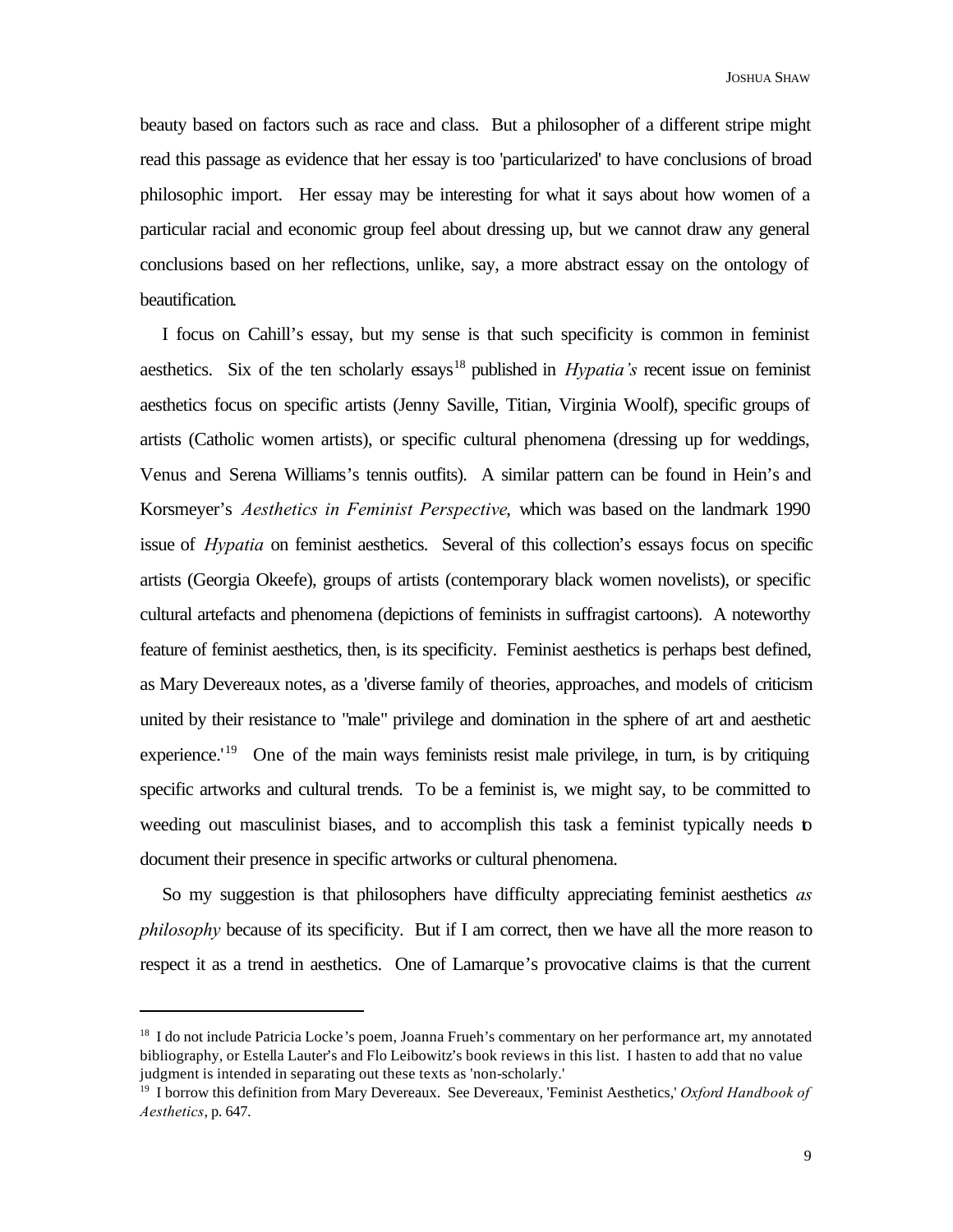beauty based on factors such as race and class. But a philosopher of a different stripe might read this passage as evidence that her essay is too 'particularized' to have conclusions of broad philosophic import. Her essay may be interesting for what it says about how women of a particular racial and economic group feel about dressing up, but we cannot draw any general conclusions based on her reflections, unlike, say, a more abstract essay on the ontology of beautification.

I focus on Cahill's essay, but my sense is that such specificity is common in feminist aesthetics. Six of the ten scholarly essays<sup>18</sup> published in *Hypatia's* recent issue on feminist aesthetics focus on specific artists (Jenny Saville, Titian, Virginia Woolf), specific groups of artists (Catholic women artists), or specific cultural phenomena (dressing up for weddings, Venus and Serena Williams's tennis outfits). A similar pattern can be found in Hein's and Korsmeyer's *Aesthetics in Feminist Perspective*, which was based on the landmark 1990 issue of *Hypatia* on feminist aesthetics. Several of this collection's essays focus on specific artists (Georgia Okeefe), groups of artists (contemporary black women novelists), or specific cultural artefacts and phenomena (depictions of feminists in suffragist cartoons). A noteworthy feature of feminist aesthetics, then, is its specificity. Feminist aesthetics is perhaps best defined, as Mary Devereaux notes, as a 'diverse family of theories, approaches, and models of criticism united by their resistance to "male" privilege and domination in the sphere of art and aesthetic experience.<sup>'19</sup> One of the main ways feminists resist male privilege, in turn, is by critiquing specific artworks and cultural trends. To be a feminist is, we might say, to be committed to weeding out masculinist biases, and to accomplish this task a feminist typically needs to document their presence in specific artworks or cultural phenomena.

So my suggestion is that philosophers have difficulty appreciating feminist aesthetics *as philosophy* because of its specificity. But if I am correct, then we have all the more reason to respect it as a trend in aesthetics. One of Lamarque's provocative claims is that the current

<sup>&</sup>lt;sup>18</sup> I do not include Patricia Locke's poem, Joanna Frueh's commentary on her performance art, my annotated bibliography, or Estella Lauter's and Flo Leibowitz's book reviews in this list. I hasten to add that no value judgment is intended in separating out these texts as 'non-scholarly.'

<sup>19</sup> I borrow this definition from Mary Devereaux. See Devereaux, 'Feminist Aesthetics,' *Oxford Handbook of Aesthetics*, p. 647.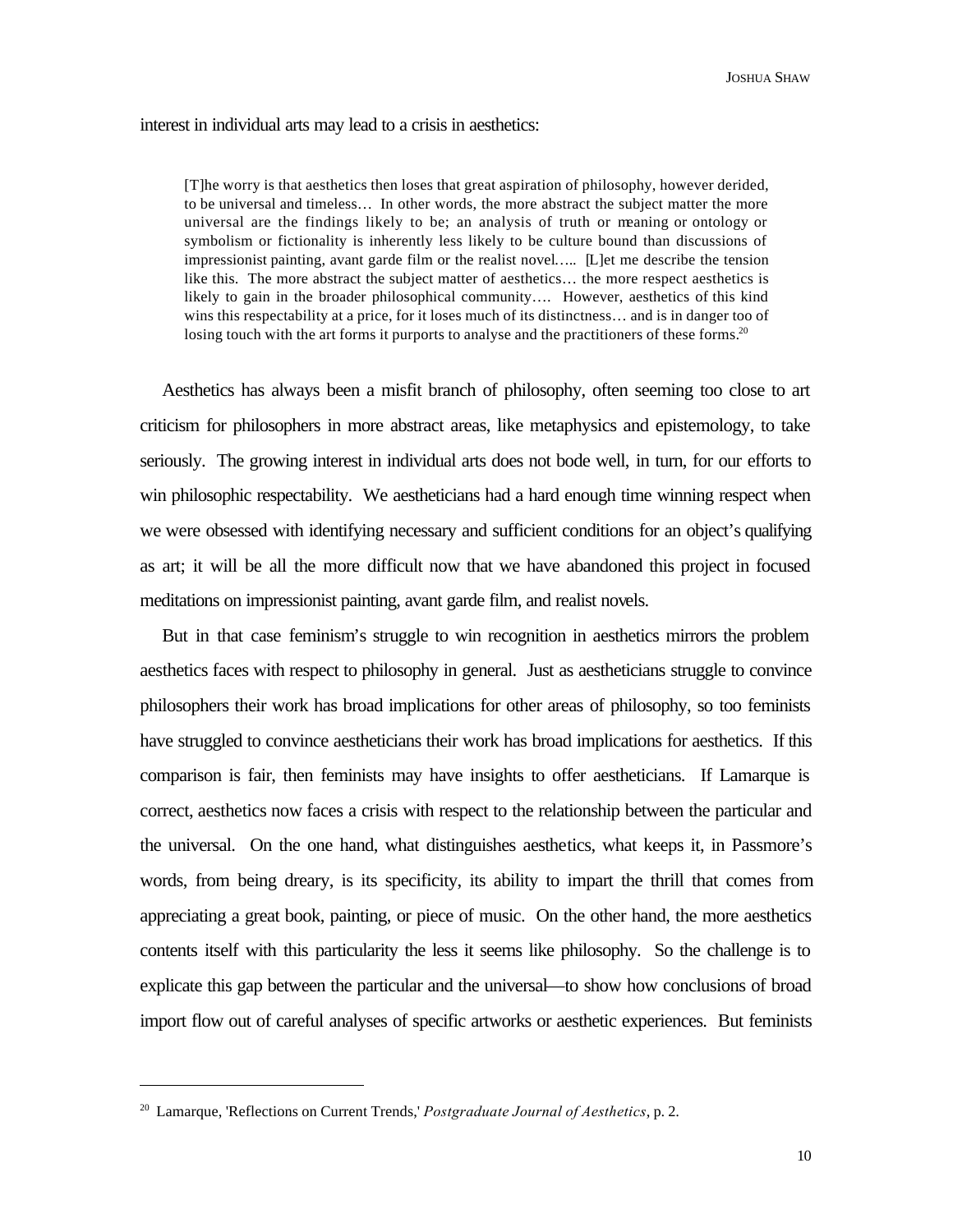interest in individual arts may lead to a crisis in aesthetics:

[T]he worry is that aesthetics then loses that great aspiration of philosophy, however derided, to be universal and timeless… In other words, the more abstract the subject matter the more universal are the findings likely to be; an analysis of truth or meaning or ontology or symbolism or fictionality is inherently less likely to be culture bound than discussions of impressionist painting, avant garde film or the realist novel….. [L]et me describe the tension like this. The more abstract the subject matter of aesthetics… the more respect aesthetics is likely to gain in the broader philosophical community…. However, aesthetics of this kind wins this respectability at a price, for it loses much of its distinctness… and is in danger too of losing touch with the art forms it purports to analyse and the practitioners of these forms.<sup>20</sup>

Aesthetics has always been a misfit branch of philosophy, often seeming too close to art criticism for philosophers in more abstract areas, like metaphysics and epistemology, to take seriously. The growing interest in individual arts does not bode well, in turn, for our efforts to win philosophic respectability. We aestheticians had a hard enough time winning respect when we were obsessed with identifying necessary and sufficient conditions for an object's qualifying as art; it will be all the more difficult now that we have abandoned this project in focused meditations on impressionist painting, avant garde film, and realist novels.

But in that case feminism's struggle to win recognition in aesthetics mirrors the problem aesthetics faces with respect to philosophy in general. Just as aestheticians struggle to convince philosophers their work has broad implications for other areas of philosophy, so too feminists have struggled to convince aestheticians their work has broad implications for aesthetics. If this comparison is fair, then feminists may have insights to offer aestheticians. If Lamarque is correct, aesthetics now faces a crisis with respect to the relationship between the particular and the universal. On the one hand, what distinguishes aesthetics, what keeps it, in Passmore's words, from being dreary, is its specificity, its ability to impart the thrill that comes from appreciating a great book, painting, or piece of music. On the other hand, the more aesthetics contents itself with this particularity the less it seems like philosophy. So the challenge is to explicate this gap between the particular and the universal—to show how conclusions of broad import flow out of careful analyses of specific artworks or aesthetic experiences. But feminists

<sup>20</sup> Lamarque, 'Reflections on Current Trends,' *Postgraduate Journal of Aesthetics*, p. 2.